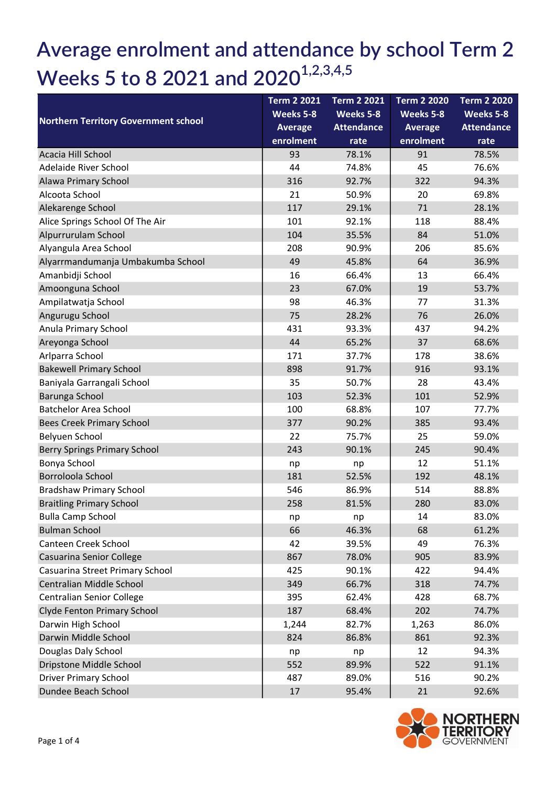## Average enrolment and attendance by school Term 2 Weeks 5 to 8 2021 and  $2020^{1,2,3,4,5}$

| <b>Northern Territory Government school</b> | <b>Term 2 2021</b> | <b>Term 2 2021</b> | <b>Term 2 2020</b> | <b>Term 2 2020</b> |
|---------------------------------------------|--------------------|--------------------|--------------------|--------------------|
|                                             | Weeks 5-8          | Weeks 5-8          | Weeks 5-8          | Weeks 5-8          |
|                                             | <b>Average</b>     | <b>Attendance</b>  | <b>Average</b>     | <b>Attendance</b>  |
|                                             | enrolment          | rate               | enrolment          | rate               |
| Acacia Hill School                          | 93                 | 78.1%              | 91                 | 78.5%              |
| Adelaide River School                       | 44                 | 74.8%              | 45                 | 76.6%              |
| Alawa Primary School                        | 316                | 92.7%              | 322                | 94.3%              |
| Alcoota School                              | 21                 | 50.9%              | 20                 | 69.8%              |
| Alekarenge School                           | 117                | 29.1%              | 71                 | 28.1%              |
| Alice Springs School Of The Air             | 101                | 92.1%              | 118                | 88.4%              |
| Alpurrurulam School                         | 104                | 35.5%              | 84                 | 51.0%              |
| Alyangula Area School                       | 208                | 90.9%              | 206                | 85.6%              |
| Alyarrmandumanja Umbakumba School           | 49                 | 45.8%              | 64                 | 36.9%              |
| Amanbidji School                            | 16                 | 66.4%              | 13                 | 66.4%              |
| Amoonguna School                            | 23                 | 67.0%              | 19                 | 53.7%              |
| Ampilatwatja School                         | 98                 | 46.3%              | 77                 | 31.3%              |
| Angurugu School                             | 75                 | 28.2%              | 76                 | 26.0%              |
| Anula Primary School                        | 431                | 93.3%              | 437                | 94.2%              |
| Areyonga School                             | 44                 | 65.2%              | 37                 | 68.6%              |
| Arlparra School                             | 171                | 37.7%              | 178                | 38.6%              |
| <b>Bakewell Primary School</b>              | 898                | 91.7%              | 916                | 93.1%              |
| Baniyala Garrangali School                  | 35                 | 50.7%              | 28                 | 43.4%              |
| Barunga School                              | 103                | 52.3%              | 101                | 52.9%              |
| <b>Batchelor Area School</b>                | 100                | 68.8%              | 107                | 77.7%              |
| <b>Bees Creek Primary School</b>            | 377                | 90.2%              | 385                | 93.4%              |
| Belyuen School                              | 22                 | 75.7%              | 25                 | 59.0%              |
| Berry Springs Primary School                | 243                | 90.1%              | 245                | 90.4%              |
| Bonya School                                | np                 | np                 | 12                 | 51.1%              |
| Borroloola School                           | 181                | 52.5%              | 192                | 48.1%              |
| <b>Bradshaw Primary School</b>              | 546                | 86.9%              | 514                | 88.8%              |
| <b>Braitling Primary School</b>             | 258                | 81.5%              | 280                | 83.0%              |
| <b>Bulla Camp School</b>                    | np                 | np                 | 14                 | 83.0%              |
| <b>Bulman School</b>                        | 66                 | 46.3%              | 68                 | 61.2%              |
| Canteen Creek School                        | 42                 | 39.5%              | 49                 | 76.3%              |
| Casuarina Senior College                    | 867                | 78.0%              | 905                | 83.9%              |
| Casuarina Street Primary School             | 425                | 90.1%              | 422                | 94.4%              |
| Centralian Middle School                    | 349                | 66.7%              | 318                | 74.7%              |
| <b>Centralian Senior College</b>            | 395                | 62.4%              | 428                | 68.7%              |
| Clyde Fenton Primary School                 | 187                | 68.4%              | 202                | 74.7%              |
| Darwin High School                          | 1,244              | 82.7%              | 1,263              | 86.0%              |
| Darwin Middle School                        | 824                | 86.8%              | 861                | 92.3%              |
| Douglas Daly School                         | np                 | np                 | 12                 | 94.3%              |
| Dripstone Middle School                     | 552                | 89.9%              | 522                | 91.1%              |
| <b>Driver Primary School</b>                | 487                | 89.0%              | 516                | 90.2%              |
| Dundee Beach School                         | 17                 | 95.4%              | 21                 | 92.6%              |

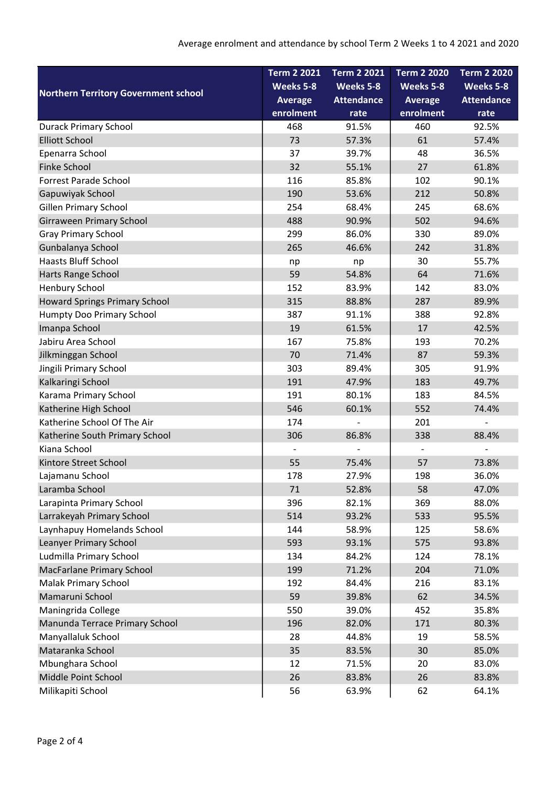|                                             | <b>Term 2 2021</b> | <b>Term 2 2021</b>       | <b>Term 2 2020</b> | <b>Term 2 2020</b> |
|---------------------------------------------|--------------------|--------------------------|--------------------|--------------------|
| <b>Northern Territory Government school</b> | Weeks 5-8          | Weeks 5-8                | Weeks 5-8          | Weeks 5-8          |
|                                             | <b>Average</b>     | <b>Attendance</b>        | <b>Average</b>     | <b>Attendance</b>  |
|                                             | enrolment          | rate                     | enrolment          | rate               |
| <b>Durack Primary School</b>                | 468                | 91.5%                    | 460                | 92.5%              |
| <b>Elliott School</b>                       | 73                 | 57.3%                    | 61                 | 57.4%              |
| Epenarra School                             | 37                 | 39.7%                    | 48                 | 36.5%              |
| Finke School                                | 32                 | 55.1%                    | 27                 | 61.8%              |
| <b>Forrest Parade School</b>                | 116                | 85.8%                    | 102                | 90.1%              |
| Gapuwiyak School                            | 190                | 53.6%                    | 212                | 50.8%              |
| Gillen Primary School                       | 254                | 68.4%                    | 245                | 68.6%              |
| Girraween Primary School                    | 488                | 90.9%                    | 502                | 94.6%              |
| <b>Gray Primary School</b>                  | 299                | 86.0%                    | 330                | 89.0%              |
| Gunbalanya School                           | 265                | 46.6%                    | 242                | 31.8%              |
| <b>Haasts Bluff School</b>                  | np                 | np                       | 30                 | 55.7%              |
| Harts Range School                          | 59                 | 54.8%                    | 64                 | 71.6%              |
| Henbury School                              | 152                | 83.9%                    | 142                | 83.0%              |
| <b>Howard Springs Primary School</b>        | 315                | 88.8%                    | 287                | 89.9%              |
| Humpty Doo Primary School                   | 387                | 91.1%                    | 388                | 92.8%              |
| Imanpa School                               | 19                 | 61.5%                    | 17                 | 42.5%              |
| Jabiru Area School                          | 167                | 75.8%                    | 193                | 70.2%              |
| Jilkminggan School                          | 70                 | 71.4%                    | 87                 | 59.3%              |
| Jingili Primary School                      | 303                | 89.4%                    | 305                | 91.9%              |
| Kalkaringi School                           | 191                | 47.9%                    | 183                | 49.7%              |
| Karama Primary School                       | 191                | 80.1%                    | 183                | 84.5%              |
| Katherine High School                       | 546                | 60.1%                    | 552                | 74.4%              |
| Katherine School Of The Air                 | 174                | $\overline{\phantom{0}}$ | 201                | $\overline{a}$     |
| Katherine South Primary School              | 306                | 86.8%                    | 338                | 88.4%              |
| Kiana School                                |                    |                          |                    |                    |
| Kintore Street School                       | 55                 | 75.4%                    | 57                 | 73.8%              |
| Lajamanu School                             | 178                | 27.9%                    | 198                | 36.0%              |
| Laramba School                              | 71                 | 52.8%                    | 58                 | 47.0%              |
| Larapinta Primary School                    | 396                | 82.1%                    | 369                | 88.0%              |
| Larrakeyah Primary School                   | 514                | 93.2%                    | 533                | 95.5%              |
| Laynhapuy Homelands School                  | 144                | 58.9%                    | 125                | 58.6%              |
| Leanyer Primary School                      | 593                | 93.1%                    | 575                | 93.8%              |
| Ludmilla Primary School                     | 134                | 84.2%                    | 124                | 78.1%              |
| MacFarlane Primary School                   | 199                | 71.2%                    | 204                | 71.0%              |
| Malak Primary School                        | 192                | 84.4%                    | 216                | 83.1%              |
| Mamaruni School                             | 59                 | 39.8%                    | 62                 | 34.5%              |
| Maningrida College                          | 550                | 39.0%                    | 452                | 35.8%              |
| Manunda Terrace Primary School              | 196                | 82.0%                    | 171                | 80.3%              |
| Manyallaluk School                          | 28                 | 44.8%                    | 19                 | 58.5%              |
| Mataranka School                            | 35                 | 83.5%                    | 30                 | 85.0%              |
| Mbunghara School                            | 12                 | 71.5%                    | 20                 | 83.0%              |
| Middle Point School                         | 26                 | 83.8%                    | 26                 | 83.8%              |
| Milikapiti School                           | 56                 | 63.9%                    | 62                 | 64.1%              |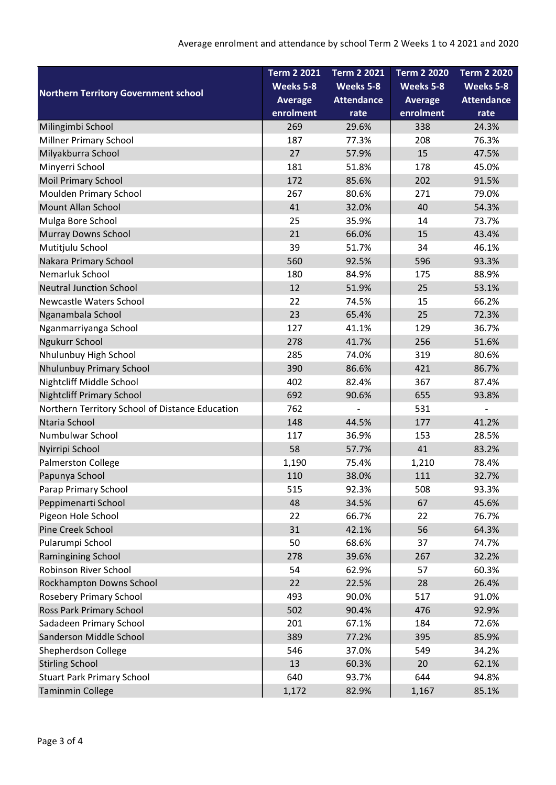| <b>Northern Territory Government school</b>     | <b>Term 2 2021</b> | <b>Term 2 2021</b> | <b>Term 2 2020</b> | <b>Term 2 2020</b> |
|-------------------------------------------------|--------------------|--------------------|--------------------|--------------------|
|                                                 | Weeks 5-8          | Weeks 5-8          | Weeks 5-8          | Weeks 5-8          |
|                                                 | <b>Average</b>     | <b>Attendance</b>  | <b>Average</b>     | <b>Attendance</b>  |
|                                                 | enrolment          | rate               | enrolment          | rate               |
| Milingimbi School                               | 269                | 29.6%              | 338                | 24.3%              |
| <b>Millner Primary School</b>                   | 187                | 77.3%              | 208                | 76.3%              |
| Milyakburra School                              | 27                 | 57.9%              | 15                 | 47.5%              |
| Minyerri School                                 | 181                | 51.8%              | 178                | 45.0%              |
| <b>Moil Primary School</b>                      | 172                | 85.6%              | 202                | 91.5%              |
| Moulden Primary School                          | 267                | 80.6%              | 271                | 79.0%              |
| <b>Mount Allan School</b>                       | 41                 | 32.0%              | 40                 | 54.3%              |
| Mulga Bore School                               | 25                 | 35.9%              | 14                 | 73.7%              |
| <b>Murray Downs School</b>                      | 21                 | 66.0%              | 15                 | 43.4%              |
| Mutitjulu School                                | 39                 | 51.7%              | 34                 | 46.1%              |
| Nakara Primary School                           | 560                | 92.5%              | 596                | 93.3%              |
| Nemarluk School                                 | 180                | 84.9%              | 175                | 88.9%              |
| <b>Neutral Junction School</b>                  | 12                 | 51.9%              | 25                 | 53.1%              |
| Newcastle Waters School                         | 22                 | 74.5%              | 15                 | 66.2%              |
| Nganambala School                               | 23                 | 65.4%              | 25                 | 72.3%              |
| Nganmarriyanga School                           | 127                | 41.1%              | 129                | 36.7%              |
| Ngukurr School                                  | 278                | 41.7%              | 256                | 51.6%              |
| Nhulunbuy High School                           | 285                | 74.0%              | 319                | 80.6%              |
| Nhulunbuy Primary School                        | 390                | 86.6%              | 421                | 86.7%              |
| Nightcliff Middle School                        | 402                | 82.4%              | 367                | 87.4%              |
| <b>Nightcliff Primary School</b>                | 692                | 90.6%              | 655                | 93.8%              |
| Northern Territory School of Distance Education | 762                |                    | 531                |                    |
| Ntaria School                                   | 148                | 44.5%              | 177                | 41.2%              |
| Numbulwar School                                | 117                | 36.9%              | 153                | 28.5%              |
| Nyirripi School                                 | 58                 | 57.7%              | 41                 | 83.2%              |
| Palmerston College                              | 1,190              | 75.4%              | 1,210              | 78.4%              |
| Papunya School                                  | 110                | 38.0%              | 111                | 32.7%              |
| Parap Primary School                            | 515                | 92.3%              | 508                | 93.3%              |
| Peppimenarti School                             | 48                 | 34.5%              | 67                 | 45.6%              |
| Pigeon Hole School                              | 22                 | 66.7%              | 22                 | 76.7%              |
| Pine Creek School                               | 31                 | 42.1%              | 56                 | 64.3%              |
| Pularumpi School                                | 50                 | 68.6%              | 37                 | 74.7%              |
| Ramingining School                              | 278                | 39.6%              | 267                | 32.2%              |
| Robinson River School                           | 54                 | 62.9%              | 57                 | 60.3%              |
| Rockhampton Downs School                        | 22                 | 22.5%              | 28                 | 26.4%              |
| <b>Rosebery Primary School</b>                  | 493                | 90.0%              | 517                | 91.0%              |
| Ross Park Primary School                        | 502                | 90.4%              | 476                | 92.9%              |
| Sadadeen Primary School                         | 201                | 67.1%              | 184                | 72.6%              |
| Sanderson Middle School                         | 389                | 77.2%              | 395                | 85.9%              |
| Shepherdson College                             | 546                | 37.0%              | 549                | 34.2%              |
| <b>Stirling School</b>                          | 13                 | 60.3%              | 20                 | 62.1%              |
| <b>Stuart Park Primary School</b>               | 640                | 93.7%              | 644                | 94.8%              |
| <b>Taminmin College</b>                         | 1,172              | 82.9%              | 1,167              | 85.1%              |